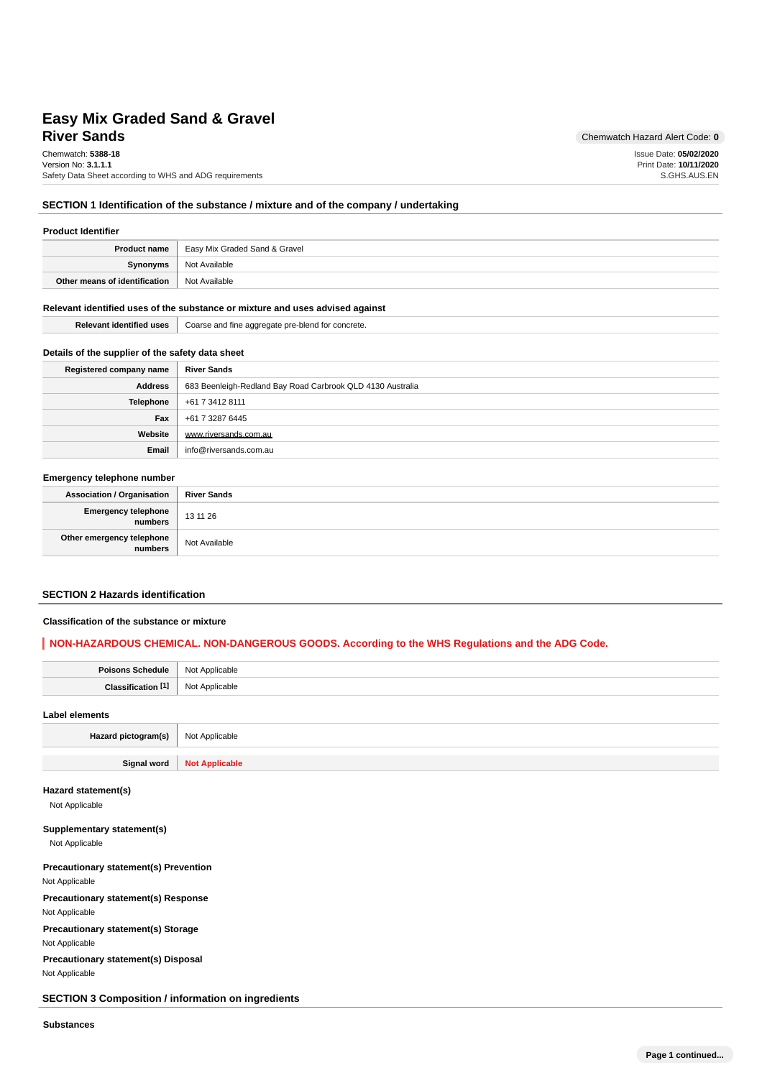# **River Sands** Chemwatch Hazard Alert Code: 0 **Easy Mix Graded Sand & Gravel**

Chemwatch: **5388-18** Version No: **3.1.1.1** Safety Data Sheet according to WHS and ADG requirements Issue Date: **05/02/2020** Print Date: **10/11/2020** S.GHS.AUS.EN

### **SECTION 1 Identification of the substance / mixture and of the company / undertaking**

| <b>Product Identifier</b>     |                                                     |  |
|-------------------------------|-----------------------------------------------------|--|
|                               | <b>Product name</b>   Easy Mix Graded Sand & Gravel |  |
| Synonyms                      | Not Available                                       |  |
| Other means of identification | Not Available                                       |  |

#### **Relevant identified uses of the substance or mixture and uses advised against**

| $-100$<br>Relevant<br>identified uses \ | Coarse and fine aggregate pre-blend for concrete.<br>ັ |
|-----------------------------------------|--------------------------------------------------------|

### **Details of the supplier of the safety data sheet**

| Registered company name | <b>River Sands</b>                                         |
|-------------------------|------------------------------------------------------------|
| <b>Address</b>          | 683 Beenleigh-Redland Bay Road Carbrook QLD 4130 Australia |
| Telephone               | +61 7 3412 8111                                            |
| Fax                     | +61 7 3287 6445                                            |
| Website                 | www.riversands.com.au                                      |
| Email                   | info@riversands.com.au                                     |

#### **Emergency telephone number**

| <b>Association / Organisation</b> | <b>River Sands</b> |
|-----------------------------------|--------------------|
| Emergency telephone<br>  numbers  | 13 11 26           |
| Other emergency telephone         | Not Available      |

### **SECTION 2 Hazards identification**

### **Classification of the substance or mixture**

### **NON-HAZARDOUS CHEMICAL. NON-DANGEROUS GOODS. According to the WHS Regulations and the ADG Code.**

| Poisons Schedule   Not Applicable |                |
|-----------------------------------|----------------|
| Classification <sup>[1]</sup>     | Not Applicable |
| Label elements                    |                |

| Hazard pictogram(s) | Not Applicable        |
|---------------------|-----------------------|
|                     |                       |
| <b>Signal word</b>  | <b>Not Applicable</b> |

### **Hazard statement(s)**

Not Applicable

### **Supplementary statement(s)**

Not Applicable

# **Precautionary statement(s) Prevention**

Not Applicable

**Precautionary statement(s) Response**

Not Applicable

## **Precautionary statement(s) Storage**

Not Applicable

**Precautionary statement(s) Disposal** Not Applicable

**SECTION 3 Composition / information on ingredients**

**Substances**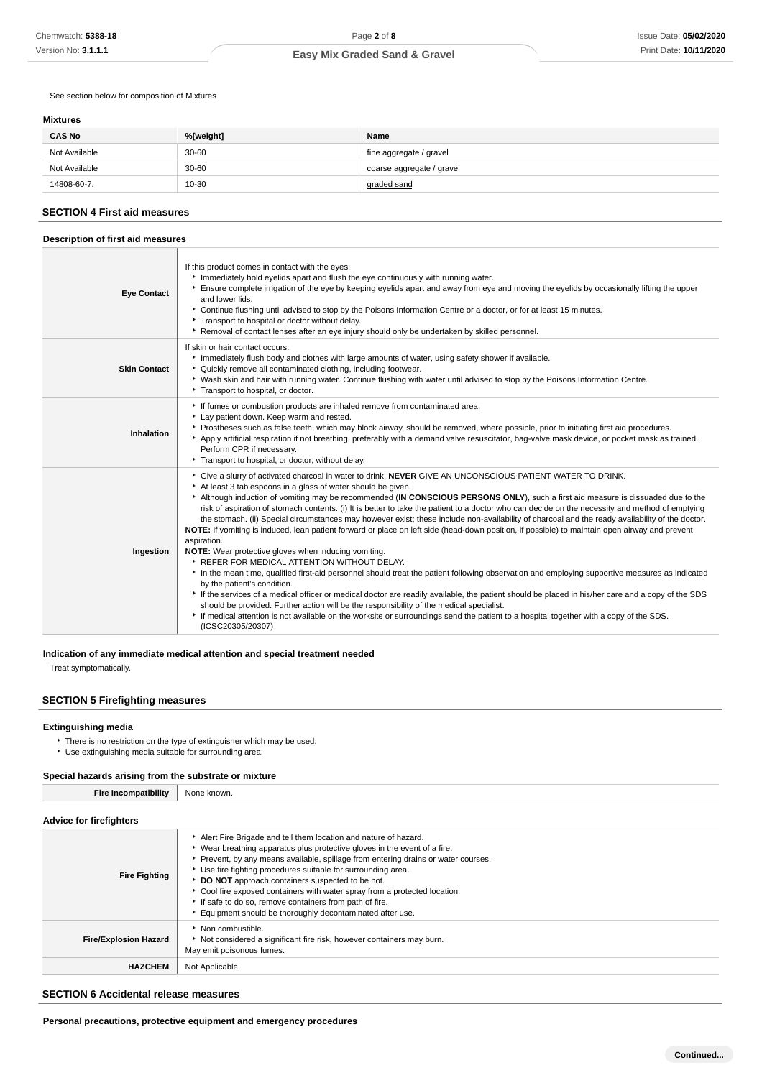See section below for composition of Mixtures

#### **Mixtures**

| <b>CAS No</b> | %[weight] | Name                      |
|---------------|-----------|---------------------------|
| Not Available | 30-60     | fine aggregate / gravel   |
| Not Available | 30-60     | coarse aggregate / gravel |
| 14808-60-7.   | $10 - 30$ | graded sand               |

#### **SECTION 4 First aid measures**

#### **Description of first aid measures Eye Contact** If this product comes in contact with the eyes: Immediately hold evelids apart and flush the eye continuously with running water. **F** Ensure complete irrigation of the eye by keeping eyelids apart and away from eye and moving the eyelids by occasionally lifting the upper and lower lids. Continue flushing until advised to stop by the Poisons Information Centre or a doctor, or for at least 15 minutes. Transport to hospital or doctor without delay. Removal of contact lenses after an eye injury should only be undertaken by skilled personnel. **Skin Contact** If skin or hair contact occurs: Immediately flush body and clothes with large amounts of water, using safety shower if available. Quickly remove all contaminated clothing, including footwear. Wash skin and hair with running water. Continue flushing with water until advised to stop by the Poisons Information Centre. **F** Transport to hospital, or doctor. **Inhalation** If fumes or combustion products are inhaled remove from contaminated area. Lay patient down. Keep warm and rested. Prostheses such as false teeth, which may block airway, should be removed, where possible, prior to initiating first aid procedures. Apply artificial respiration if not breathing, preferably with a demand valve resuscitator, bag-valve mask device, or pocket mask as trained. Perform CPR if necessary. Transport to hospital, or doctor, without delay. **Ingestion** Give a slurry of activated charcoal in water to drink. **NEVER** GIVE AN UNCONSCIOUS PATIENT WATER TO DRINK.  $\blacktriangleright$  At least 3 tablespoons in a glass of water should be given. Although induction of vomiting may be recommended (**IN CONSCIOUS PERSONS ONLY**), such a first aid measure is dissuaded due to the risk of aspiration of stomach contents. (i) It is better to take the patient to a doctor who can decide on the necessity and method of emptying the stomach. (ii) Special circumstances may however exist; these include non-availability of charcoal and the ready availability of the doctor. **NOTE:** If vomiting is induced, lean patient forward or place on left side (head-down position, if possible) to maintain open airway and prevent aspiration. **NOTE:** Wear protective gloves when inducing vomiting. **REFER FOR MEDICAL ATTENTION WITHOUT DELAY.** In the mean time, qualified first-aid personnel should treat the patient following observation and employing supportive measures as indicated by the patient's condition. If the services of a medical officer or medical doctor are readily available, the patient should be placed in his/her care and a copy of the SDS should be provided. Further action will be the responsibility of the medical specialist. If medical attention is not available on the worksite or surroundings send the patient to a hospital together with a copy of the SDS. (ICSC20305/20307)

### **Indication of any immediate medical attention and special treatment needed**

Treat symptomatically.

#### **SECTION 5 Firefighting measures**

#### **Extinguishing media**

- There is no restriction on the type of extinguisher which may be used.
- Use extinguishing media suitable for surrounding area.

#### **Special hazards arising from the substrate or mixture**

| <b>Fire Incompatibility</b>    | None known.                                                                                                                                                                                                                                                                                                                                                                                                                                                                                                                                          |  |  |  |  |  |
|--------------------------------|------------------------------------------------------------------------------------------------------------------------------------------------------------------------------------------------------------------------------------------------------------------------------------------------------------------------------------------------------------------------------------------------------------------------------------------------------------------------------------------------------------------------------------------------------|--|--|--|--|--|
| <b>Advice for firefighters</b> |                                                                                                                                                                                                                                                                                                                                                                                                                                                                                                                                                      |  |  |  |  |  |
| <b>Fire Fighting</b>           | Alert Fire Brigade and tell them location and nature of hazard.<br>► Wear breathing apparatus plus protective gloves in the event of a fire.<br>Prevent, by any means available, spillage from entering drains or water courses.<br>Use fire fighting procedures suitable for surrounding area.<br>DO NOT approach containers suspected to be hot.<br>Cool fire exposed containers with water spray from a protected location.<br>If safe to do so, remove containers from path of fire.<br>Equipment should be thoroughly decontaminated after use. |  |  |  |  |  |
| <b>Fire/Explosion Hazard</b>   | • Non combustible.<br>Not considered a significant fire risk, however containers may burn.<br>May emit poisonous fumes.                                                                                                                                                                                                                                                                                                                                                                                                                              |  |  |  |  |  |
| <b>HAZCHEM</b>                 | Not Applicable                                                                                                                                                                                                                                                                                                                                                                                                                                                                                                                                       |  |  |  |  |  |

#### **SECTION 6 Accidental release measures**

**Personal precautions, protective equipment and emergency procedures**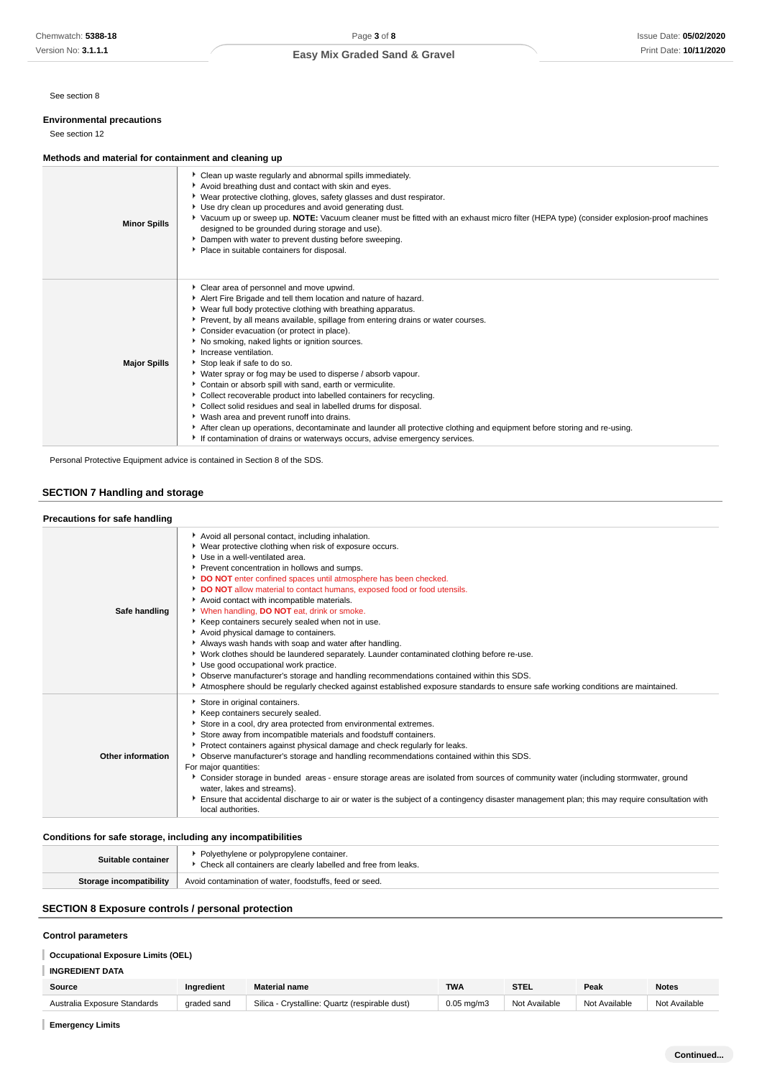See section 8

### **Environmental precautions**

See section 12

### **Methods and material for containment and cleaning up**

| <b>Minor Spills</b> | • Clean up waste regularly and abnormal spills immediately.<br>Avoid breathing dust and contact with skin and eyes.<br>▶ Wear protective clothing, gloves, safety glasses and dust respirator.<br>Use dry clean up procedures and avoid generating dust.<br>▶ Vacuum up or sweep up. NOTE: Vacuum cleaner must be fitted with an exhaust micro filter (HEPA type) (consider explosion-proof machines<br>designed to be grounded during storage and use).<br>Dampen with water to prevent dusting before sweeping.<br>Place in suitable containers for disposal.                                                                                                                                                                                                                                                                                                                                                                                             |
|---------------------|-------------------------------------------------------------------------------------------------------------------------------------------------------------------------------------------------------------------------------------------------------------------------------------------------------------------------------------------------------------------------------------------------------------------------------------------------------------------------------------------------------------------------------------------------------------------------------------------------------------------------------------------------------------------------------------------------------------------------------------------------------------------------------------------------------------------------------------------------------------------------------------------------------------------------------------------------------------|
| <b>Major Spills</b> | Clear area of personnel and move upwind.<br>Alert Fire Brigade and tell them location and nature of hazard.<br>▶ Wear full body protective clothing with breathing apparatus.<br>▶ Prevent, by all means available, spillage from entering drains or water courses.<br>Consider evacuation (or protect in place).<br>▶ No smoking, naked lights or ignition sources.<br>Increase ventilation.<br>Stop leak if safe to do so.<br>• Water spray or fog may be used to disperse / absorb vapour.<br>Contain or absorb spill with sand, earth or vermiculite.<br>Collect recoverable product into labelled containers for recycling.<br>Collect solid residues and seal in labelled drums for disposal.<br>▶ Wash area and prevent runoff into drains.<br>After clean up operations, decontaminate and launder all protective clothing and equipment before storing and re-using.<br>If contamination of drains or waterways occurs, advise emergency services. |

Personal Protective Equipment advice is contained in Section 8 of the SDS.

## **SECTION 7 Handling and storage**

| Precautions for safe handling |                                                                                                                                                                                                                                                                                                                                                                                                                                                                                                                                                                                                                                                                                                                                                                                                                                                                                                                                                                       |
|-------------------------------|-----------------------------------------------------------------------------------------------------------------------------------------------------------------------------------------------------------------------------------------------------------------------------------------------------------------------------------------------------------------------------------------------------------------------------------------------------------------------------------------------------------------------------------------------------------------------------------------------------------------------------------------------------------------------------------------------------------------------------------------------------------------------------------------------------------------------------------------------------------------------------------------------------------------------------------------------------------------------|
| Safe handling                 | Avoid all personal contact, including inhalation.<br>▶ Wear protective clothing when risk of exposure occurs.<br>Use in a well-ventilated area.<br>Prevent concentration in hollows and sumps.<br>DO NOT enter confined spaces until atmosphere has been checked.<br>DO NOT allow material to contact humans, exposed food or food utensils.<br>Avoid contact with incompatible materials.<br>V When handling, DO NOT eat, drink or smoke.<br>Keep containers securely sealed when not in use.<br>Avoid physical damage to containers.<br>Always wash hands with soap and water after handling.<br>▶ Work clothes should be laundered separately. Launder contaminated clothing before re-use.<br>Use good occupational work practice.<br>▶ Observe manufacturer's storage and handling recommendations contained within this SDS.<br>Atmosphere should be regularly checked against established exposure standards to ensure safe working conditions are maintained. |
| Other information             | Store in original containers.<br>Keep containers securely sealed.<br>Store in a cool, dry area protected from environmental extremes.<br>Store away from incompatible materials and foodstuff containers.<br>Protect containers against physical damage and check regularly for leaks.<br>▶ Observe manufacturer's storage and handling recommendations contained within this SDS.<br>For major quantities:<br>▶ Consider storage in bunded areas - ensure storage areas are isolated from sources of community water (including stormwater, ground<br>water, lakes and streams}.<br>Ensure that accidental discharge to air or water is the subject of a contingency disaster management plan; this may require consultation with<br>local authorities.                                                                                                                                                                                                              |

### **Conditions for safe storage, including any incompatibilities**

| Suitable container      | Polyethylene or polypropylene container.<br>▶ Check all containers are clearly labelled and free from leaks. |
|-------------------------|--------------------------------------------------------------------------------------------------------------|
| Storage incompatibility | Avoid contamination of water, foodstuffs, feed or seed.                                                      |

### **SECTION 8 Exposure controls / personal protection**

### **Control parameters**

## **Occupational Exposure Limits (OEL)**

**INGREDIENT DATA**

| Source             | Ingredient  | <b><i><u>Aterial</u></i></b> name     | <b>TWA</b>      | <b>STEL</b> | Peak           | <b>Notes</b> |
|--------------------|-------------|---------------------------------------|-----------------|-------------|----------------|--------------|
| Standards          | graded sand | Silica                                |                 | N∩t         | Available      | Available    |
| Australia Exposure |             | Crystalline: Quartz (respirable dust) | $0.05$ mg/m $3$ | Available   | N <sub>0</sub> | Not          |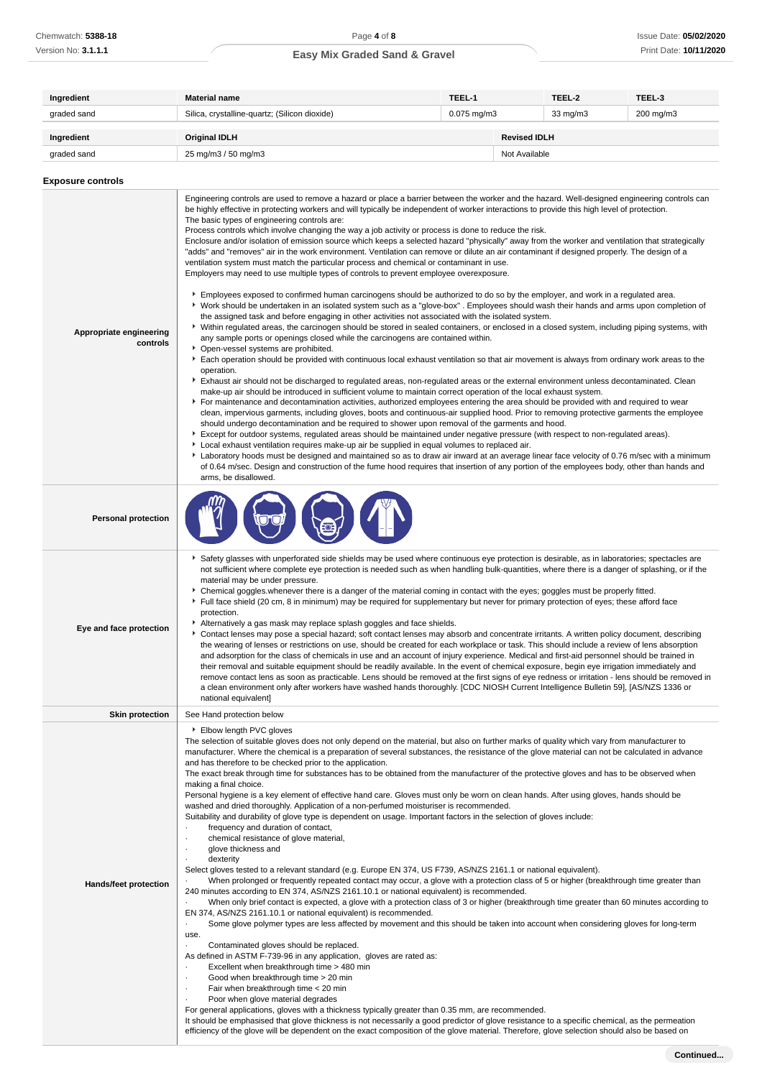| Ingredient               | <b>Material name</b>                                                                                                                                                                                                                                                                         | TEEL-1                                |                     | TEEL-2    | TEEL-3 |
|--------------------------|----------------------------------------------------------------------------------------------------------------------------------------------------------------------------------------------------------------------------------------------------------------------------------------------|---------------------------------------|---------------------|-----------|--------|
| graded sand              | Silica, crystalline-quartz; (Silicon dioxide)                                                                                                                                                                                                                                                | $0.075$ mg/m $3$<br>$33 \text{ mg/m}$ |                     | 200 mg/m3 |        |
| Ingredient               | <b>Original IDLH</b>                                                                                                                                                                                                                                                                         |                                       | <b>Revised IDLH</b> |           |        |
| graded sand              | 25 mg/m3 / 50 mg/m3<br>Not Available                                                                                                                                                                                                                                                         |                                       |                     |           |        |
| <b>Exposure controls</b> |                                                                                                                                                                                                                                                                                              |                                       |                     |           |        |
|                          | Engineering controls are used to remove a hazard or place a barrier between the worker and the hazard. Well-designed engineering controls can<br>he bighly effective in protecting workers and will typically be independent of worker interactions to provide this bigh level of protection |                                       |                     |           |        |

| Appropriate engineering<br>controls | Engineering controls are used to remove a hazard or place a barrier between the worker and the hazard. Well-designed engineering controls can<br>be highly effective in protecting workers and will typically be independent of worker interactions to provide this high level of protection.<br>The basic types of engineering controls are:<br>Process controls which involve changing the way a job activity or process is done to reduce the risk.<br>Enclosure and/or isolation of emission source which keeps a selected hazard "physically" away from the worker and ventilation that strategically<br>"adds" and "removes" air in the work environment. Ventilation can remove or dilute an air contaminant if designed properly. The design of a<br>ventilation system must match the particular process and chemical or contaminant in use.<br>Employers may need to use multiple types of controls to prevent employee overexposure.<br>Employees exposed to confirmed human carcinogens should be authorized to do so by the employer, and work in a regulated area.<br>▶ Work should be undertaken in an isolated system such as a "glove-box". Employees should wash their hands and arms upon completion of<br>the assigned task and before engaging in other activities not associated with the isolated system.<br>▶ Within regulated areas, the carcinogen should be stored in sealed containers, or enclosed in a closed system, including piping systems, with<br>any sample ports or openings closed while the carcinogens are contained within.<br>• Open-vessel systems are prohibited.<br>Each operation should be provided with continuous local exhaust ventilation so that air movement is always from ordinary work areas to the<br>operation.<br>Exhaust air should not be discharged to regulated areas, non-regulated areas or the external environment unless decontaminated. Clean<br>make-up air should be introduced in sufficient volume to maintain correct operation of the local exhaust system.<br>For maintenance and decontamination activities, authorized employees entering the area should be provided with and required to wear<br>clean, impervious garments, including gloves, boots and continuous-air supplied hood. Prior to removing protective garments the employee<br>should undergo decontamination and be required to shower upon removal of the garments and hood.<br>Except for outdoor systems, regulated areas should be maintained under negative pressure (with respect to non-regulated areas).<br>▶ Local exhaust ventilation requires make-up air be supplied in equal volumes to replaced air.<br>Laboratory hoods must be designed and maintained so as to draw air inward at an average linear face velocity of 0.76 m/sec with a minimum |
|-------------------------------------|-----------------------------------------------------------------------------------------------------------------------------------------------------------------------------------------------------------------------------------------------------------------------------------------------------------------------------------------------------------------------------------------------------------------------------------------------------------------------------------------------------------------------------------------------------------------------------------------------------------------------------------------------------------------------------------------------------------------------------------------------------------------------------------------------------------------------------------------------------------------------------------------------------------------------------------------------------------------------------------------------------------------------------------------------------------------------------------------------------------------------------------------------------------------------------------------------------------------------------------------------------------------------------------------------------------------------------------------------------------------------------------------------------------------------------------------------------------------------------------------------------------------------------------------------------------------------------------------------------------------------------------------------------------------------------------------------------------------------------------------------------------------------------------------------------------------------------------------------------------------------------------------------------------------------------------------------------------------------------------------------------------------------------------------------------------------------------------------------------------------------------------------------------------------------------------------------------------------------------------------------------------------------------------------------------------------------------------------------------------------------------------------------------------------------------------------------------------------------------------------------------------------------------------------------------------------------------------------------------------------------------------------------------------------------------------------------------------------------------------------------------------------------------------------------------------------|
|                                     | of 0.64 m/sec. Design and construction of the fume hood requires that insertion of any portion of the employees body, other than hands and<br>arms, be disallowed.                                                                                                                                                                                                                                                                                                                                                                                                                                                                                                                                                                                                                                                                                                                                                                                                                                                                                                                                                                                                                                                                                                                                                                                                                                                                                                                                                                                                                                                                                                                                                                                                                                                                                                                                                                                                                                                                                                                                                                                                                                                                                                                                                                                                                                                                                                                                                                                                                                                                                                                                                                                                                                              |
| <b>Personal protection</b>          |                                                                                                                                                                                                                                                                                                                                                                                                                                                                                                                                                                                                                                                                                                                                                                                                                                                                                                                                                                                                                                                                                                                                                                                                                                                                                                                                                                                                                                                                                                                                                                                                                                                                                                                                                                                                                                                                                                                                                                                                                                                                                                                                                                                                                                                                                                                                                                                                                                                                                                                                                                                                                                                                                                                                                                                                                 |
| Eye and face protection             | ▶ Safety glasses with unperforated side shields may be used where continuous eye protection is desirable, as in laboratories; spectacles are<br>not sufficient where complete eye protection is needed such as when handling bulk-quantities, where there is a danger of splashing, or if the<br>material may be under pressure.<br>• Chemical goggles whenever there is a danger of the material coming in contact with the eyes; goggles must be properly fitted.<br>Full face shield (20 cm, 8 in minimum) may be required for supplementary but never for primary protection of eyes; these afford face<br>protection.<br>Alternatively a gas mask may replace splash goggles and face shields.<br>Contact lenses may pose a special hazard; soft contact lenses may absorb and concentrate irritants. A written policy document, describing<br>the wearing of lenses or restrictions on use, should be created for each workplace or task. This should include a review of lens absorption<br>and adsorption for the class of chemicals in use and an account of injury experience. Medical and first-aid personnel should be trained in<br>their removal and suitable equipment should be readily available. In the event of chemical exposure, begin eye irrigation immediately and<br>remove contact lens as soon as practicable. Lens should be removed at the first signs of eye redness or irritation - lens should be removed in<br>a clean environment only after workers have washed hands thoroughly. [CDC NIOSH Current Intelligence Bulletin 59], [AS/NZS 1336 or<br>national equivalent]                                                                                                                                                                                                                                                                                                                                                                                                                                                                                                                                                                                                                                                                                                                                                                                                                                                                                                                                                                                                                                                                                                                                                                                                      |
| <b>Skin protection</b>              | See Hand protection below                                                                                                                                                                                                                                                                                                                                                                                                                                                                                                                                                                                                                                                                                                                                                                                                                                                                                                                                                                                                                                                                                                                                                                                                                                                                                                                                                                                                                                                                                                                                                                                                                                                                                                                                                                                                                                                                                                                                                                                                                                                                                                                                                                                                                                                                                                                                                                                                                                                                                                                                                                                                                                                                                                                                                                                       |
| <b>Hands/feet protection</b>        | Elbow length PVC gloves<br>The selection of suitable gloves does not only depend on the material, but also on further marks of quality which vary from manufacturer to<br>manufacturer. Where the chemical is a preparation of several substances, the resistance of the glove material can not be calculated in advance<br>and has therefore to be checked prior to the application.<br>The exact break through time for substances has to be obtained from the manufacturer of the protective gloves and has to be observed when<br>making a final choice.<br>Personal hygiene is a key element of effective hand care. Gloves must only be worn on clean hands. After using gloves, hands should be<br>washed and dried thoroughly. Application of a non-perfumed moisturiser is recommended.<br>Suitability and durability of glove type is dependent on usage. Important factors in the selection of gloves include:<br>frequency and duration of contact,<br>chemical resistance of glove material,<br>glove thickness and<br>dexterity<br>Select gloves tested to a relevant standard (e.g. Europe EN 374, US F739, AS/NZS 2161.1 or national equivalent).<br>When prolonged or frequently repeated contact may occur, a glove with a protection class of 5 or higher (breakthrough time greater than<br>240 minutes according to EN 374, AS/NZS 2161.10.1 or national equivalent) is recommended.<br>When only brief contact is expected, a glove with a protection class of 3 or higher (breakthrough time greater than 60 minutes according to<br>EN 374, AS/NZS 2161.10.1 or national equivalent) is recommended.<br>Some glove polymer types are less affected by movement and this should be taken into account when considering gloves for long-term<br>use.<br>Contaminated gloves should be replaced.<br>As defined in ASTM F-739-96 in any application, gloves are rated as:<br>Excellent when breakthrough time > 480 min<br>Good when breakthrough time > 20 min<br>Fair when breakthrough time < 20 min<br>Poor when glove material degrades<br>For general applications, gloves with a thickness typically greater than 0.35 mm, are recommended.                                                                                                                                                                                                                                                                                                                                                                                                                                                                                                                                                                                                                                          |

It should be emphasised that glove thickness is not necessarily a good predictor of glove resistance to a specific chemical, as the permeation efficiency of the glove will be dependent on the exact composition of the glove material. Therefore, glove selection should also be based on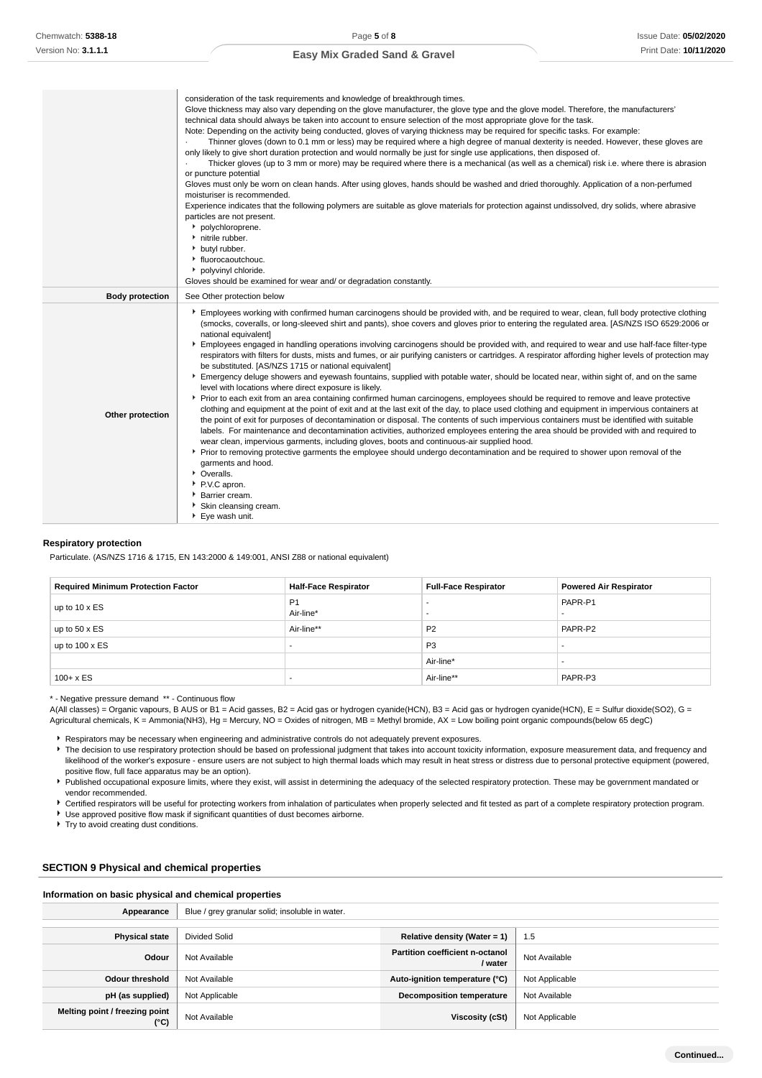|                        | consideration of the task requirements and knowledge of breakthrough times.<br>Glove thickness may also vary depending on the glove manufacturer, the glove type and the glove model. Therefore, the manufacturers'<br>technical data should always be taken into account to ensure selection of the most appropriate glove for the task.<br>Note: Depending on the activity being conducted, gloves of varying thickness may be required for specific tasks. For example:<br>Thinner gloves (down to 0.1 mm or less) may be required where a high degree of manual dexterity is needed. However, these gloves are<br>only likely to give short duration protection and would normally be just for single use applications, then disposed of.<br>Thicker gloves (up to 3 mm or more) may be required where there is a mechanical (as well as a chemical) risk i.e. where there is abrasion<br>or puncture potential<br>Gloves must only be worn on clean hands. After using gloves, hands should be washed and dried thoroughly. Application of a non-perfumed<br>moisturiser is recommended.<br>Experience indicates that the following polymers are suitable as glove materials for protection against undissolved, dry solids, where abrasive<br>particles are not present.<br>polychloroprene.<br>nitrile rubber.<br>butyl rubber.<br>• fluorocaoutchouc.<br>• polyvinyl chloride.<br>Gloves should be examined for wear and/ or degradation constantly.                                                                                                                                                                                                                                                                                                                                                             |
|------------------------|--------------------------------------------------------------------------------------------------------------------------------------------------------------------------------------------------------------------------------------------------------------------------------------------------------------------------------------------------------------------------------------------------------------------------------------------------------------------------------------------------------------------------------------------------------------------------------------------------------------------------------------------------------------------------------------------------------------------------------------------------------------------------------------------------------------------------------------------------------------------------------------------------------------------------------------------------------------------------------------------------------------------------------------------------------------------------------------------------------------------------------------------------------------------------------------------------------------------------------------------------------------------------------------------------------------------------------------------------------------------------------------------------------------------------------------------------------------------------------------------------------------------------------------------------------------------------------------------------------------------------------------------------------------------------------------------------------------------------------------------------------------------------------------------------------------------------|
| <b>Body protection</b> | See Other protection below                                                                                                                                                                                                                                                                                                                                                                                                                                                                                                                                                                                                                                                                                                                                                                                                                                                                                                                                                                                                                                                                                                                                                                                                                                                                                                                                                                                                                                                                                                                                                                                                                                                                                                                                                                                               |
| Other protection       | Employees working with confirmed human carcinogens should be provided with, and be required to wear, clean, full body protective clothing<br>(smocks, coveralls, or long-sleeved shirt and pants), shoe covers and gloves prior to entering the regulated area. [AS/NZS ISO 6529:2006 or<br>national equivalent]<br>Employees engaged in handling operations involving carcinogens should be provided with, and required to wear and use half-face filter-type<br>respirators with filters for dusts, mists and fumes, or air purifying canisters or cartridges. A respirator affording higher levels of protection may<br>be substituted. [AS/NZS 1715 or national equivalent]<br>Emergency deluge showers and eyewash fountains, supplied with potable water, should be located near, within sight of, and on the same<br>level with locations where direct exposure is likely.<br>▶ Prior to each exit from an area containing confirmed human carcinogens, employees should be required to remove and leave protective<br>clothing and equipment at the point of exit and at the last exit of the day, to place used clothing and equipment in impervious containers at<br>the point of exit for purposes of decontamination or disposal. The contents of such impervious containers must be identified with suitable<br>labels. For maintenance and decontamination activities, authorized employees entering the area should be provided with and required to<br>wear clean, impervious garments, including gloves, boots and continuous-air supplied hood.<br>▶ Prior to removing protective garments the employee should undergo decontamination and be required to shower upon removal of the<br>garments and hood.<br>• Overalls.<br>P.V.C apron.<br>Barrier cream.<br>Skin cleansing cream.<br>Eye wash unit. |

#### **Respiratory protection**

Particulate. (AS/NZS 1716 & 1715, EN 143:2000 & 149:001, ANSI Z88 or national equivalent)

| <b>Required Minimum Protection Factor</b> | <b>Half-Face Respirator</b> | <b>Full-Face Respirator</b> | <b>Powered Air Respirator</b> |
|-------------------------------------------|-----------------------------|-----------------------------|-------------------------------|
| up to 10 x ES                             | P <sub>1</sub><br>Air-line* |                             | PAPR-P1<br>-                  |
| up to $50 \times ES$                      | Air-line**                  | P <sub>2</sub>              | PAPR-P2                       |
| up to $100 \times ES$                     | -                           | P <sub>3</sub>              | -                             |
|                                           |                             | Air-line*                   |                               |
| $100 + x ES$                              | -                           | Air-line**                  | PAPR-P3                       |

\* - Negative pressure demand \*\* - Continuous flow

A(All classes) = Organic vapours, B AUS or B1 = Acid gasses, B2 = Acid gas or hydrogen cyanide(HCN), B3 = Acid gas or hydrogen cyanide(HCN), E = Sulfur dioxide(SO2), G = Agricultural chemicals, K = Ammonia(NH3), Hg = Mercury, NO = Oxides of nitrogen, MB = Methyl bromide, AX = Low boiling point organic compounds(below 65 degC)

Respirators may be necessary when engineering and administrative controls do not adequately prevent exposures.

The decision to use respiratory protection should be based on professional judgment that takes into account toxicity information, exposure measurement data, and frequency and likelihood of the worker's exposure - ensure users are not subject to high thermal loads which may result in heat stress or distress due to personal protective equipment (powered, positive flow, full face apparatus may be an option).

Published occupational exposure limits, where they exist, will assist in determining the adequacy of the selected respiratory protection. These may be government mandated or vendor recommended.

Certified respirators will be useful for protecting workers from inhalation of particulates when properly selected and fit tested as part of a complete respiratory protection program. Use approved positive flow mask if significant quantities of dust becomes airborne.

Try to avoid creating dust conditions.

### **SECTION 9 Physical and chemical properties**

#### **Information on basic physical and chemical properties**

| Appearance                                      | Blue / grey granular solid; insoluble in water. |                                                   |                |
|-------------------------------------------------|-------------------------------------------------|---------------------------------------------------|----------------|
|                                                 |                                                 |                                                   |                |
| <b>Physical state</b>                           | <b>Divided Solid</b>                            | Relative density (Water = 1)                      | 1.5            |
| Odour                                           | Not Available                                   | <b>Partition coefficient n-octanol</b><br>/ water | Not Available  |
| <b>Odour threshold</b>                          | Not Available                                   | Auto-ignition temperature (°C)                    | Not Applicable |
| pH (as supplied)                                | Not Applicable                                  | <b>Decomposition temperature</b>                  | Not Available  |
| Melting point / freezing point<br>$(^{\circ}C)$ | Not Available                                   | Viscosity (cSt)                                   | Not Applicable |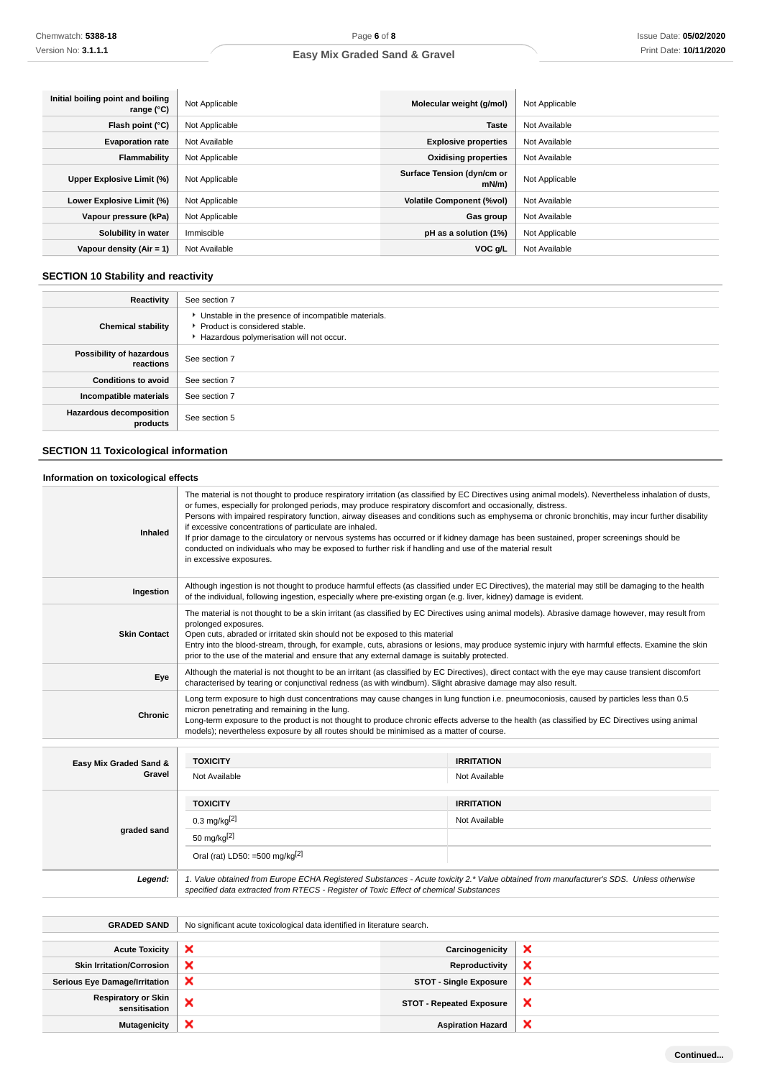| Initial boiling point and boiling<br>range $(°C)$ | Not Applicable | Molecular weight (g/mol)               | Not Applicable |
|---------------------------------------------------|----------------|----------------------------------------|----------------|
| Flash point (°C)                                  | Not Applicable | <b>Taste</b>                           | Not Available  |
| <b>Evaporation rate</b>                           | Not Available  | <b>Explosive properties</b>            | Not Available  |
| <b>Flammability</b>                               | Not Applicable | <b>Oxidising properties</b>            | Not Available  |
| Upper Explosive Limit (%)                         | Not Applicable | Surface Tension (dyn/cm or<br>$mN/m$ ) | Not Applicable |
| Lower Explosive Limit (%)                         | Not Applicable | <b>Volatile Component (%vol)</b>       | Not Available  |
| Vapour pressure (kPa)                             | Not Applicable | Gas group                              | Not Available  |
| Solubility in water                               | Immiscible     | pH as a solution (1%)                  | Not Applicable |
| Vapour density $(Air = 1)$                        | Not Available  | VOC g/L                                | Not Available  |

## **SECTION 10 Stability and reactivity**

| <b>Reactivity</b>                          | See section 7                                                                                                                        |
|--------------------------------------------|--------------------------------------------------------------------------------------------------------------------------------------|
| <b>Chemical stability</b>                  | • Unstable in the presence of incompatible materials.<br>▶ Product is considered stable.<br>Hazardous polymerisation will not occur. |
| Possibility of hazardous<br>reactions      | See section 7                                                                                                                        |
| <b>Conditions to avoid</b>                 | See section 7                                                                                                                        |
| Incompatible materials                     | See section 7                                                                                                                        |
| <b>Hazardous decomposition</b><br>products | See section 5                                                                                                                        |

## **SECTION 11 Toxicological information**

### **Information on toxicological effects**

| <b>Inhaled</b>         | The material is not thought to produce respiratory irritation (as classified by EC Directives using animal models). Nevertheless inhalation of dusts,<br>or fumes, especially for prolonged periods, may produce respiratory discomfort and occasionally, distress.<br>Persons with impaired respiratory function, airway diseases and conditions such as emphysema or chronic bronchitis, may incur further disability<br>if excessive concentrations of particulate are inhaled.<br>If prior damage to the circulatory or nervous systems has occurred or if kidney damage has been sustained, proper screenings should be<br>conducted on individuals who may be exposed to further risk if handling and use of the material result<br>in excessive exposures. |                   |  |
|------------------------|-------------------------------------------------------------------------------------------------------------------------------------------------------------------------------------------------------------------------------------------------------------------------------------------------------------------------------------------------------------------------------------------------------------------------------------------------------------------------------------------------------------------------------------------------------------------------------------------------------------------------------------------------------------------------------------------------------------------------------------------------------------------|-------------------|--|
| Ingestion              | Although ingestion is not thought to produce harmful effects (as classified under EC Directives), the material may still be damaging to the health<br>of the individual, following ingestion, especially where pre-existing organ (e.g. liver, kidney) damage is evident.                                                                                                                                                                                                                                                                                                                                                                                                                                                                                         |                   |  |
| <b>Skin Contact</b>    | The material is not thought to be a skin irritant (as classified by EC Directives using animal models). Abrasive damage however, may result from<br>prolonged exposures.<br>Open cuts, abraded or irritated skin should not be exposed to this material<br>Entry into the blood-stream, through, for example, cuts, abrasions or lesions, may produce systemic injury with harmful effects. Examine the skin<br>prior to the use of the material and ensure that any external damage is suitably protected.                                                                                                                                                                                                                                                       |                   |  |
| Eye                    | Although the material is not thought to be an irritant (as classified by EC Directives), direct contact with the eye may cause transient discomfort<br>characterised by tearing or conjunctival redness (as with windburn). Slight abrasive damage may also result.                                                                                                                                                                                                                                                                                                                                                                                                                                                                                               |                   |  |
| <b>Chronic</b>         | Long term exposure to high dust concentrations may cause changes in lung function i.e. pneumoconiosis, caused by particles less than 0.5<br>micron penetrating and remaining in the lung.<br>Long-term exposure to the product is not thought to produce chronic effects adverse to the health (as classified by EC Directives using animal<br>models); nevertheless exposure by all routes should be minimised as a matter of course.                                                                                                                                                                                                                                                                                                                            |                   |  |
| Easy Mix Graded Sand & | <b>TOXICITY</b>                                                                                                                                                                                                                                                                                                                                                                                                                                                                                                                                                                                                                                                                                                                                                   | <b>IRRITATION</b> |  |
| Gravel                 | Not Available                                                                                                                                                                                                                                                                                                                                                                                                                                                                                                                                                                                                                                                                                                                                                     | Not Available     |  |
|                        | <b>TOXICITY</b>                                                                                                                                                                                                                                                                                                                                                                                                                                                                                                                                                                                                                                                                                                                                                   | <b>IRRITATION</b> |  |
| graded sand            | $0.3 \text{ mg/kg}^{[2]}$                                                                                                                                                                                                                                                                                                                                                                                                                                                                                                                                                                                                                                                                                                                                         | Not Available     |  |
|                        | 50 mg/kg $[2]$                                                                                                                                                                                                                                                                                                                                                                                                                                                                                                                                                                                                                                                                                                                                                    |                   |  |
|                        | Oral (rat) LD50: =500 mg/kg $^{[2]}$                                                                                                                                                                                                                                                                                                                                                                                                                                                                                                                                                                                                                                                                                                                              |                   |  |
| Legend:                | 1. Value obtained from Europe ECHA Registered Substances - Acute toxicity 2.* Value obtained from manufacturer's SDS. Unless otherwise<br>specified data extracted from RTECS - Register of Toxic Effect of chemical Substances                                                                                                                                                                                                                                                                                                                                                                                                                                                                                                                                   |                   |  |
|                        |                                                                                                                                                                                                                                                                                                                                                                                                                                                                                                                                                                                                                                                                                                                                                                   |                   |  |
| <b>GRADED SAND</b>     | No significant acute toxicological data identified in literature search.                                                                                                                                                                                                                                                                                                                                                                                                                                                                                                                                                                                                                                                                                          |                   |  |

| <b>Acute Toxicity</b>                | ⌒ | Carcinogenicity                 | ₩ |
|--------------------------------------|---|---------------------------------|---|
| <b>Skin Irritation/Corrosion</b>     | ∼ | Reproductivity                  | ₩ |
| <b>Serious Eye Damage/Irritation</b> |   | <b>STOT - Single Exposure</b>   | ж |
| Respiratory or Skin<br>sensitisation | ◠ | <b>STOT - Repeated Exposure</b> | × |
| <b>Mutagenicity</b>                  |   | <b>Aspiration Hazard</b>        |   |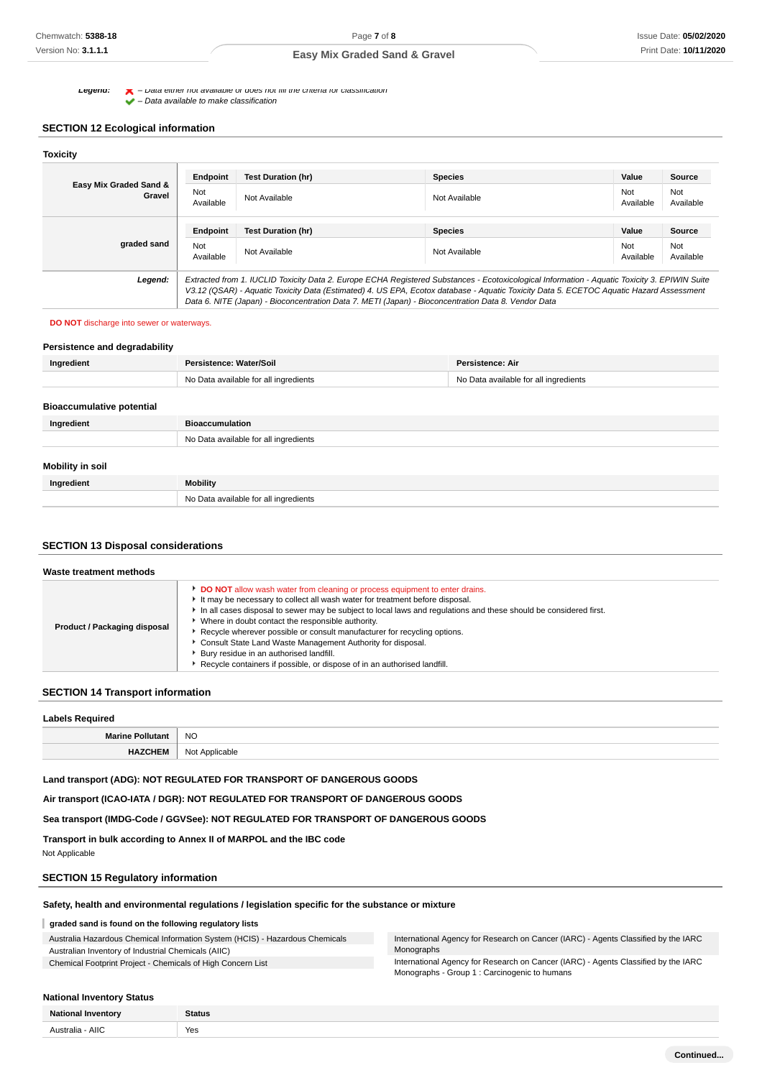**Legena:**  $\bullet$  – Data either not available or does not fill the criteria for classification

 $\blacktriangleright$  – Data available to make classification

### **SECTION 12 Ecological information**

| <b>Toxicity</b>                  |                  |                                                                                                                                                                                                                                                                                                                                                                                                 |                |                  |                  |
|----------------------------------|------------------|-------------------------------------------------------------------------------------------------------------------------------------------------------------------------------------------------------------------------------------------------------------------------------------------------------------------------------------------------------------------------------------------------|----------------|------------------|------------------|
|                                  | Endpoint         | <b>Test Duration (hr)</b>                                                                                                                                                                                                                                                                                                                                                                       | <b>Species</b> | Value            | <b>Source</b>    |
| Easy Mix Graded Sand &<br>Gravel | Not<br>Available | Not Available                                                                                                                                                                                                                                                                                                                                                                                   | Not Available  | Not<br>Available | Not<br>Available |
|                                  | Endpoint         | <b>Test Duration (hr)</b>                                                                                                                                                                                                                                                                                                                                                                       | <b>Species</b> | Value            | Source           |
| graded sand                      | Not<br>Available | Not Available                                                                                                                                                                                                                                                                                                                                                                                   | Not Available  | Not<br>Available | Not<br>Available |
| Legend:                          |                  | Extracted from 1. IUCLID Toxicity Data 2. Europe ECHA Registered Substances - Ecotoxicological Information - Aquatic Toxicity 3. EPIWIN Suite<br>V3.12 (QSAR) - Aquatic Toxicity Data (Estimated) 4. US EPA, Ecotox database - Aquatic Toxicity Data 5. ECETOC Aquatic Hazard Assessment<br>Data 6. NITE (Japan) - Bioconcentration Data 7. METI (Japan) - Bioconcentration Data 8. Vendor Data |                |                  |                  |

#### **DO NOT** discharge into sewer or waterways.

| Persistence and degradability    |                                       |                                       |
|----------------------------------|---------------------------------------|---------------------------------------|
| Ingredient                       | Persistence: Water/Soil               | <b>Persistence: Air</b>               |
|                                  | No Data available for all ingredients | No Data available for all ingredients |
|                                  |                                       |                                       |
| <b>Bioaccumulative potential</b> |                                       |                                       |
| Ingredient                       | <b>Bioaccumulation</b>                |                                       |
|                                  | No Data available for all ingredients |                                       |
|                                  |                                       |                                       |
| Mobility in soil                 |                                       |                                       |
| Ingredient                       | <b>Mobility</b>                       |                                       |
|                                  | No Data available for all ingredients |                                       |

### **SECTION 13 Disposal considerations**

| Waste treatment methods      |                                                                                                                                                                                                                                                                                                                                                                                                                                                                                                                                                                                                         |
|------------------------------|---------------------------------------------------------------------------------------------------------------------------------------------------------------------------------------------------------------------------------------------------------------------------------------------------------------------------------------------------------------------------------------------------------------------------------------------------------------------------------------------------------------------------------------------------------------------------------------------------------|
| Product / Packaging disposal | DO NOT allow wash water from cleaning or process equipment to enter drains.<br>It may be necessary to collect all wash water for treatment before disposal.<br>In all cases disposal to sewer may be subject to local laws and requlations and these should be considered first.<br>Where in doubt contact the responsible authority.<br>Recycle wherever possible or consult manufacturer for recycling options.<br>Consult State Land Waste Management Authority for disposal.<br>Bury residue in an authorised landfill.<br>Recycle containers if possible, or dispose of in an authorised landfill. |

### **SECTION 14 Transport information**

| <b>Labels Required</b>  |                |  |
|-------------------------|----------------|--|
| <b>Marine Pollutant</b> | <b>NO</b>      |  |
| <b>HEM</b><br>HA.       | Not Applicable |  |

**Land transport (ADG): NOT REGULATED FOR TRANSPORT OF DANGEROUS GOODS**

**Air transport (ICAO-IATA / DGR): NOT REGULATED FOR TRANSPORT OF DANGEROUS GOODS**

**Sea transport (IMDG-Code / GGVSee): NOT REGULATED FOR TRANSPORT OF DANGEROUS GOODS**

**Transport in bulk according to Annex II of MARPOL and the IBC code** Not Applicable

### **SECTION 15 Regulatory information**

**Safety, health and environmental regulations / legislation specific for the substance or mixture**

### **graded sand is found on the following regulatory lists**

Australia Hazardous Chemical Information System (HCIS) - Hazardous Chemicals Australian Inventory of Industrial Chemicals (AIIC)

Chemical Footprint Project - Chemicals of High Concern List

International Agency for Research on Cancer (IARC) - Agents Classified by the IARC Monographs

International Agency for Research on Cancer (IARC) - Agents Classified by the IARC Monographs - Group 1 : Carcinogenic to humans

#### **National Inventory Status**

| <b>Mai</b> |     |
|------------|-----|
| AIIC<br>.  | Yes |
|            |     |